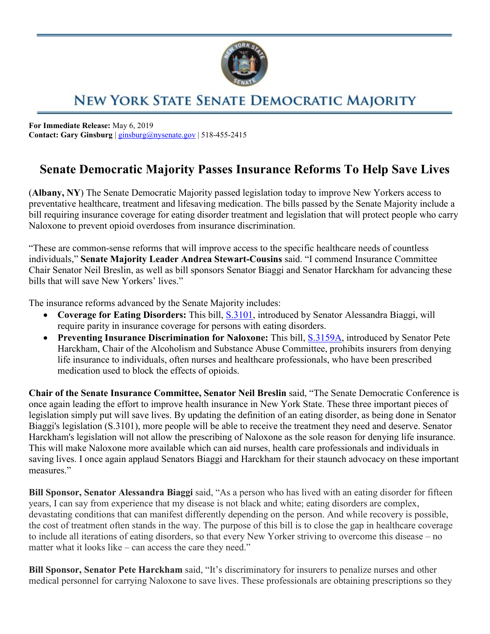

## NEW YORK STATE SENATE DEMOCRATIC MAJORITY

**For Immediate Release:** May 6, 2019 **Contact: Gary Ginsburg** | [ginsburg@nysenate.gov](mailto:ginsburg@nysenate.gov) | 518-455-2415

## **Senate Democratic Majority Passes Insurance Reforms To Help Save Lives**

(**Albany, NY**) The Senate Democratic Majority passed legislation today to improve New Yorkers access to preventative healthcare, treatment and lifesaving medication. The bills passed by the Senate Majority include a bill requiring insurance coverage for eating disorder treatment and legislation that will protect people who carry Naloxone to prevent opioid overdoses from insurance discrimination.

"These are common-sense reforms that will improve access to the specific healthcare needs of countless individuals," **Senate Majority Leader Andrea Stewart-Cousins** said. "I commend Insurance Committee Chair Senator Neil Breslin, as well as bill sponsors Senator Biaggi and Senator Harckham for advancing these bills that will save New Yorkers' lives."

The insurance reforms advanced by the Senate Majority includes:

- **Coverage for Eating Disorders:** This bill, [S.3101,](https://www.nysenate.gov/legislation/bills/2019/s3101) introduced by Senator Alessandra Biaggi, will require parity in insurance coverage for persons with eating disorders.
- **Preventing Insurance Discrimination for Naloxone:** This bill, [S.3159A,](https://www.nysenate.gov/legislation/bills/2019/s3159/amendment/a) introduced by Senator Pete Harckham, Chair of the Alcoholism and Substance Abuse Committee, prohibits insurers from denying life insurance to individuals, often nurses and healthcare professionals, who have been prescribed medication used to block the effects of opioids.

**Chair of the Senate Insurance Committee, Senator Neil Breslin** said, "The Senate Democratic Conference is once again leading the effort to improve health insurance in New York State. These three important pieces of legislation simply put will save lives. By updating the definition of an eating disorder, as being done in Senator Biaggi's legislation (S.3101), more people will be able to receive the treatment they need and deserve. Senator Harckham's legislation will not allow the prescribing of Naloxone as the sole reason for denying life insurance. This will make Naloxone more available which can aid nurses, health care professionals and individuals in saving lives. I once again applaud Senators Biaggi and Harckham for their staunch advocacy on these important measures."

**Bill Sponsor, Senator Alessandra Biaggi** said, "As a person who has lived with an eating disorder for fifteen years, I can say from experience that my disease is not black and white; eating disorders are complex, devastating conditions that can manifest differently depending on the person. And while recovery is possible, the cost of treatment often stands in the way. The purpose of this bill is to close the gap in healthcare coverage to include all iterations of eating disorders, so that every New Yorker striving to overcome this disease – no matter what it looks like – can access the care they need."

**Bill Sponsor, Senator Pete Harckham** said, "It's discriminatory for insurers to penalize nurses and other medical personnel for carrying Naloxone to save lives. These professionals are obtaining prescriptions so they